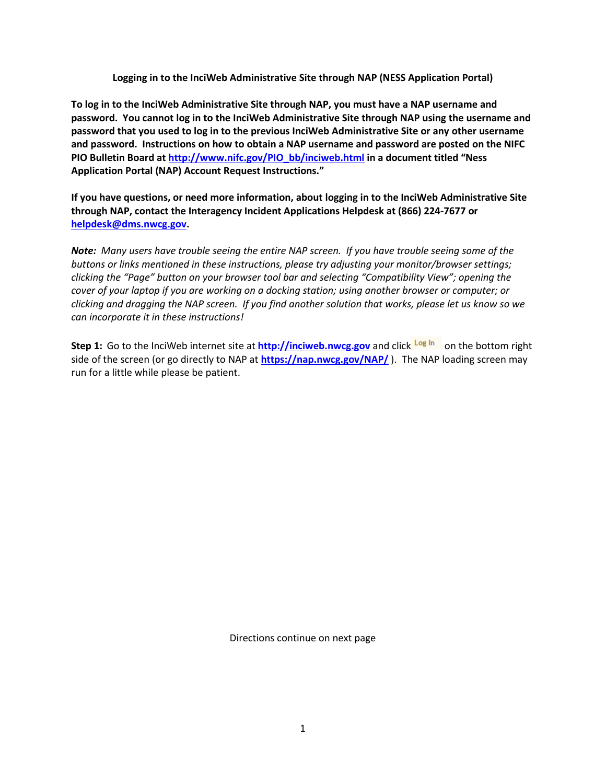**Logging in to the InciWeb Administrative Site through NAP (NESS Application Portal)**

**To log in to the InciWeb Administrative Site through NAP, you must have a NAP username and password. You cannot log in to the InciWeb Administrative Site through NAP using the username and password that you used to log in to the previous InciWeb Administrative Site or any other username and password. Instructions on how to obtain a NAP username and password are posted on the NIFC PIO Bulletin Board at [http://www.nifc.gov/PIO\\_bb/inciweb.html](http://www.nifc.gov/PIO_bb/inciweb.html) in a document titled "Ness Application Portal (NAP) Account Request Instructions."**

**If you have questions, or need more information, about logging in to the InciWeb Administrative Site through NAP, contact the Interagency Incident Applications Helpdesk at (866) 224-7677 or [helpdesk@dms.nwcg.gov.](mailto:helpdesk@dms.nwcg.gov)** 

*Note: Many users have trouble seeing the entire NAP screen. If you have trouble seeing some of the buttons or links mentioned in these instructions, please try adjusting your monitor/browser settings; clicking the "Page" button on your browser tool bar and selecting "Compatibility View"; opening the cover of your laptop if you are working on a docking station; using another browser or computer; or clicking and dragging the NAP screen. If you find another solution that works, please let us know so we can incorporate it in these instructions!*

**Step 1:** Go to the InciWeb internet site at **[http://inciweb.nwcg.gov](http://inciweb.nwcg.gov/)** and click Log In on the bottom right side of the screen (or go directly to NAP at **<https://nap.nwcg.gov/NAP/>**). The NAP loading screen may run for a little while please be patient.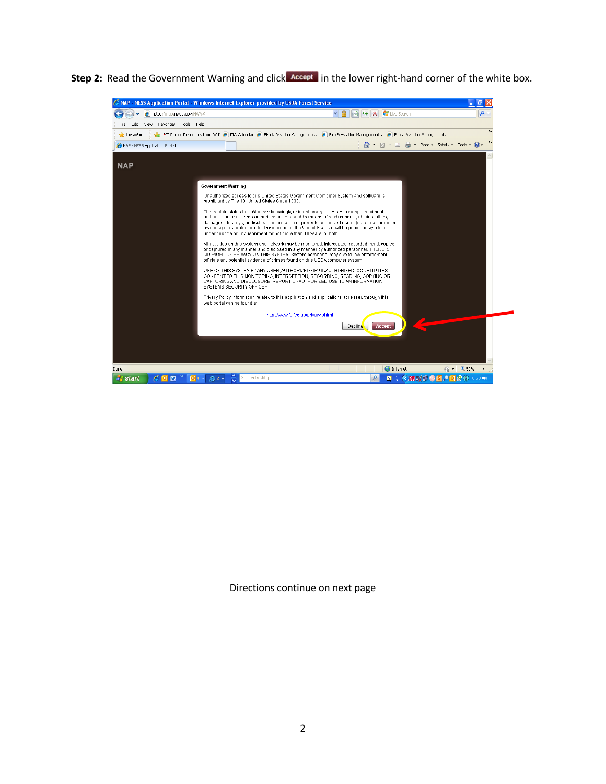**Step 2:** Read the Government Warning and click **Accept** in the lower right-hand corner of the white box.

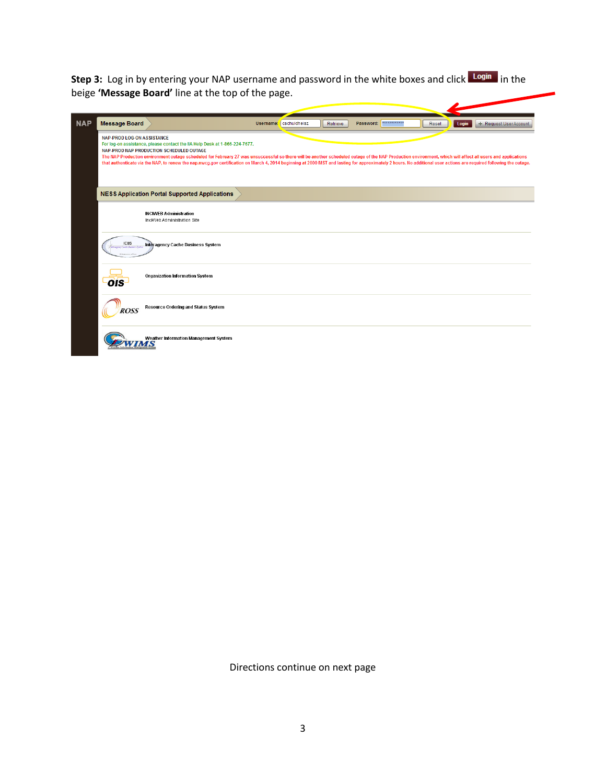**Step 3:** Log in by entering your NAP username and password in the white boxes and click Login in the beige **'Message Board'** line at the top of the page.

| <b>NAP</b> | <b>Message Board</b>                                                                                                                                                                                                                                                                                                                                                                                                                                                                                                                                                                            | Username: cschuldheisz | Retrieve | ************<br>Password: | Reset | Login<br>+ Request User Account |
|------------|-------------------------------------------------------------------------------------------------------------------------------------------------------------------------------------------------------------------------------------------------------------------------------------------------------------------------------------------------------------------------------------------------------------------------------------------------------------------------------------------------------------------------------------------------------------------------------------------------|------------------------|----------|---------------------------|-------|---------------------------------|
|            | <b>NAP-PROD LOG-ON ASSISTANCE</b><br>For log-on assistance, please contact the IIA Help Desk at 1-866-224-7677.<br>NAP-PROD NAP PRODUCTION SCHEDULED OUTAGE<br>The NAP Production environment outage scheduled for February 27 was unsuccessful so there will be another scheduled outage of the NAP Production environment, which will affect all users and applications<br>that authenticate via the NAP, to renew the nap.nwcg.gov certification on March 4, 2014 beginning at 2000 MST and lasting for approximately 2 hours. No additional user actions are required following the outage. |                        |          |                           |       |                                 |
|            | <b>NESS Application Portal Supported Applications</b>                                                                                                                                                                                                                                                                                                                                                                                                                                                                                                                                           |                        |          |                           |       |                                 |
|            | <b>INCIWEB Administration</b><br>InciWeb Administration Site                                                                                                                                                                                                                                                                                                                                                                                                                                                                                                                                    |                        |          |                           |       |                                 |
|            | <b>ICBS</b><br>Interagency Cache Business System<br>an Carly Barmer Sodie                                                                                                                                                                                                                                                                                                                                                                                                                                                                                                                       |                        |          |                           |       |                                 |
|            | Organization Information System<br>OIS·                                                                                                                                                                                                                                                                                                                                                                                                                                                                                                                                                         |                        |          |                           |       |                                 |
|            | Resource Ordering and Status System<br><b>ROSS</b>                                                                                                                                                                                                                                                                                                                                                                                                                                                                                                                                              |                        |          |                           |       |                                 |
|            | Weather Information Management System                                                                                                                                                                                                                                                                                                                                                                                                                                                                                                                                                           |                        |          |                           |       |                                 |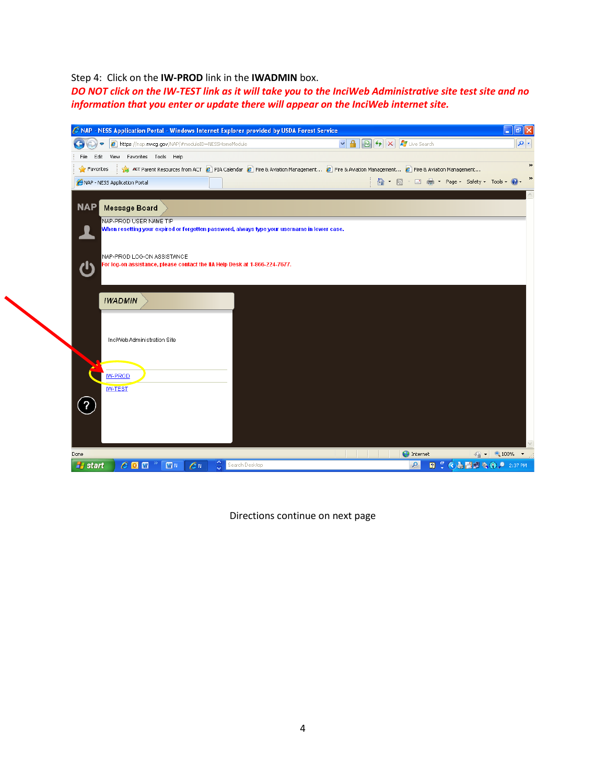## Step 4: Click on the **IW-PROD** link in the **IWADMIN** box.

*DO NOT click on the IW-TEST link as it will take you to the InciWeb Administrative site test site and no information that you enter or update there will appear on the InciWeb internet site.*

| C NAP - NESS Application Portal - Windows Internet Explorer provided by USDA Forest Service              |                                                                                                                                             | $\Box$ e $\mathbf{x}$                |
|----------------------------------------------------------------------------------------------------------|---------------------------------------------------------------------------------------------------------------------------------------------|--------------------------------------|
| https://nap.nwcg.gov/NAP/#moduleID=NESSHomeModule                                                        | $\vee$ 4 $\otimes$ $\vee$ $\times$<br>Live Search                                                                                           | $\mathsf{p}$ .                       |
| View Favorites Tools Help<br>File<br>Edit                                                                |                                                                                                                                             |                                      |
| $\sqrt{\phantom{a}}$ Favorites                                                                           | ACT Parent Resources from ACT 2   PIA Calendar 2   Fire & Aviation Management 2   Fire & Aviation Management 2   Fire & Aviation Management |                                      |
| NAP - NESS Application Portal                                                                            | □ △ • △ • □ ● • Page • Safety • Tools • ●                                                                                                   |                                      |
|                                                                                                          |                                                                                                                                             |                                      |
| NAP<br>Message Board                                                                                     |                                                                                                                                             |                                      |
| NAP-PROD USER NAME TIP                                                                                   |                                                                                                                                             |                                      |
| When resetting your expired or forgotten password, always type your username in lower case.              |                                                                                                                                             |                                      |
|                                                                                                          |                                                                                                                                             |                                      |
| NAP-PROD LOG-ON ASSISTANCE<br>For log-on assistance, please contact the IIA Help Desk at 1-866-224-7677. |                                                                                                                                             |                                      |
|                                                                                                          |                                                                                                                                             |                                      |
|                                                                                                          |                                                                                                                                             |                                      |
| <b>IWADMIN</b>                                                                                           |                                                                                                                                             |                                      |
|                                                                                                          |                                                                                                                                             |                                      |
|                                                                                                          |                                                                                                                                             |                                      |
| InciWeb Administration Site                                                                              |                                                                                                                                             |                                      |
|                                                                                                          |                                                                                                                                             |                                      |
|                                                                                                          |                                                                                                                                             |                                      |
| <b>W-PROD</b>                                                                                            |                                                                                                                                             |                                      |
| <b>IW-TEST</b>                                                                                           |                                                                                                                                             |                                      |
| $\overline{\mathbf{?}}$                                                                                  |                                                                                                                                             |                                      |
|                                                                                                          |                                                                                                                                             |                                      |
|                                                                                                          |                                                                                                                                             |                                      |
|                                                                                                          |                                                                                                                                             |                                      |
| Done                                                                                                     | <b>O</b> Internet                                                                                                                           | $\sqrt{2}$ + $\frac{100\%}{100\%}$ + |
| <b>A</b> start<br>$\sqrt{M}$ N<br>$\mathcal{C}^N$<br>Search Desktop<br>$e_0$ $\pi$                       | <b>図 : ◇と置いな①,● 2:37 PM</b><br>$\mathbf{Q}% _{0}\left( t\right)$                                                                            |                                      |